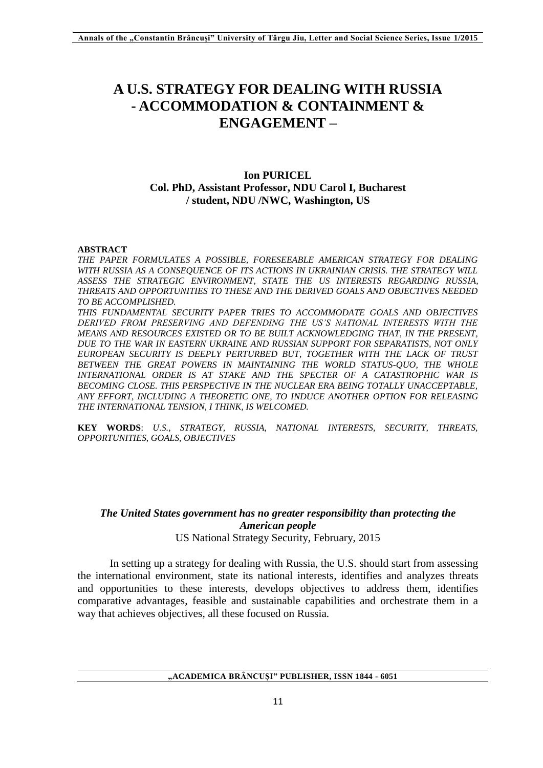# **A U.S. STRATEGY FOR DEALING WITH RUSSIA - ACCOMMODATION & CONTAINMENT & ENGAGEMENT –**

## **Ion PURICEL Col. PhD, Assistant Professor, NDU Carol I, Bucharest / student, NDU /NWC, Washington, US**

#### **ABSTRACT**

*THE PAPER FORMULATES A POSSIBLE, FORESEEABLE AMERICAN STRATEGY FOR DEALING WITH RUSSIA AS A CONSEQUENCE OF ITS ACTIONS IN UKRAINIAN CRISIS. THE STRATEGY WILL ASSESS THE STRATEGIC ENVIRONMENT, STATE THE US INTERESTS REGARDING RUSSIA, THREATS AND OPPORTUNITIES TO THESE AND THE DERIVED GOALS AND OBJECTIVES NEEDED TO BE ACCOMPLISHED.* 

*THIS FUNDAMENTAL SECURITY PAPER TRIES TO ACCOMMODATE GOALS AND OBJECTIVES DERIVED FROM PRESERVING AND DEFENDING THE US'S NATIONAL INTERESTS WITH THE MEANS AND RESOURCES EXISTED OR TO BE BUILT ACKNOWLEDGING THAT, IN THE PRESENT, DUE TO THE WAR IN EASTERN UKRAINE AND RUSSIAN SUPPORT FOR SEPARATISTS, NOT ONLY EUROPEAN SECURITY IS DEEPLY PERTURBED BUT, TOGETHER WITH THE LACK OF TRUST*  BETWEEN THE GREAT POWERS IN MAINTAINING THE WORLD STATUS-OUO, THE WHOLE *INTERNATIONAL ORDER IS AT STAKE AND THE SPECTER OF A CATASTROPHIC WAR IS BECOMING CLOSE. THIS PERSPECTIVE IN THE NUCLEAR ERA BEING TOTALLY UNACCEPTABLE, ANY EFFORT, INCLUDING A THEORETIC ONE, TO INDUCE ANOTHER OPTION FOR RELEASING THE INTERNATIONAL TENSION, I THINK, IS WELCOMED.*

**KEY WORDS**: *U.S.*, *STRATEGY, RUSSIA, NATIONAL INTERESTS, SECURITY, THREATS, OPPORTUNITIES, GOALS, OBJECTIVES*

## *The United States government has no greater responsibility than protecting the American people* US National Strategy Security, February, 2015

In setting up a strategy for dealing with Russia, the U.S. should start from assessing the international environment, state its national interests, identifies and analyzes threats and opportunities to these interests, develops objectives to address them, identifies comparative advantages, feasible and sustainable capabilities and orchestrate them in a way that achieves objectives, all these focused on Russia.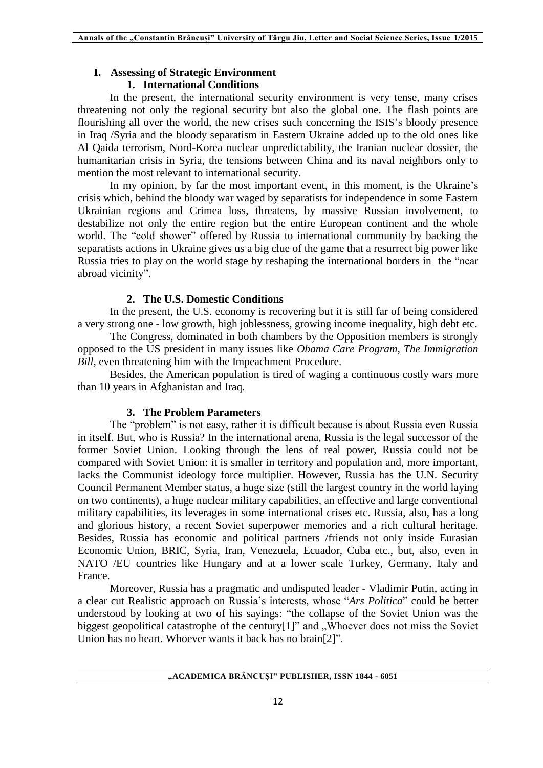## **I. Assessing of Strategic Environment**

## **1. International Conditions**

In the present, the international security environment is very tense, many crises threatening not only the regional security but also the global one. The flash points are flourishing all over the world, the new crises such concerning the ISIS's bloody presence in Iraq /Syria and the bloody separatism in Eastern Ukraine added up to the old ones like Al Qaida terrorism, Nord-Korea nuclear unpredictability, the Iranian nuclear dossier, the humanitarian crisis in Syria, the tensions between China and its naval neighbors only to mention the most relevant to international security.

In my opinion, by far the most important event, in this moment, is the Ukraine's crisis which, behind the bloody war waged by separatists for independence in some Eastern Ukrainian regions and Crimea loss, threatens, by massive Russian involvement, to destabilize not only the entire region but the entire European continent and the whole world. The "cold shower" offered by Russia to international community by backing the separatists actions in Ukraine gives us a big clue of the game that a resurrect big power like Russia tries to play on the world stage by reshaping the international borders in the "near abroad vicinity".

## **2. The U.S. Domestic Conditions**

In the present, the U.S. economy is recovering but it is still far of being considered a very strong one - low growth, high joblessness, growing income inequality, high debt etc.

The Congress, dominated in both chambers by the Opposition members is strongly opposed to the US president in many issues like *Obama Care Program*, *The Immigration Bill*, even threatening him with the Impeachment Procedure.

Besides, the American population is tired of waging a continuous costly wars more than 10 years in Afghanistan and Iraq.

## **3. The Problem Parameters**

The "problem" is not easy, rather it is difficult because is about Russia even Russia in itself. But, who is Russia? In the international arena, Russia is the legal successor of the former Soviet Union. Looking through the lens of real power, Russia could not be compared with Soviet Union: it is smaller in territory and population and, more important, lacks the Communist ideology force multiplier. However, Russia has the U.N. Security Council Permanent Member status, a huge size (still the largest country in the world laying on two continents), a huge nuclear military capabilities, an effective and large conventional military capabilities, its leverages in some international crises etc. Russia, also, has a long and glorious history, a recent Soviet superpower memories and a rich cultural heritage. Besides, Russia has economic and political partners /friends not only inside Eurasian Economic Union, BRIC, Syria, Iran, Venezuela, Ecuador, Cuba etc., but, also, even in NATO /EU countries like Hungary and at a lower scale Turkey, Germany, Italy and France.

Moreover, Russia has a pragmatic and undisputed leader - Vladimir Putin, acting in a clear cut Realistic approach on Russia's interests, whose "*Ars Politica*" could be better understood by looking at two of his sayings: "the collapse of the Soviet Union was the biggest geopolitical catastrophe of the century[1]" and  $\mathcal{N}$ Whoever does not miss the Soviet Union has no heart. Whoever wants it back has no brain[2]".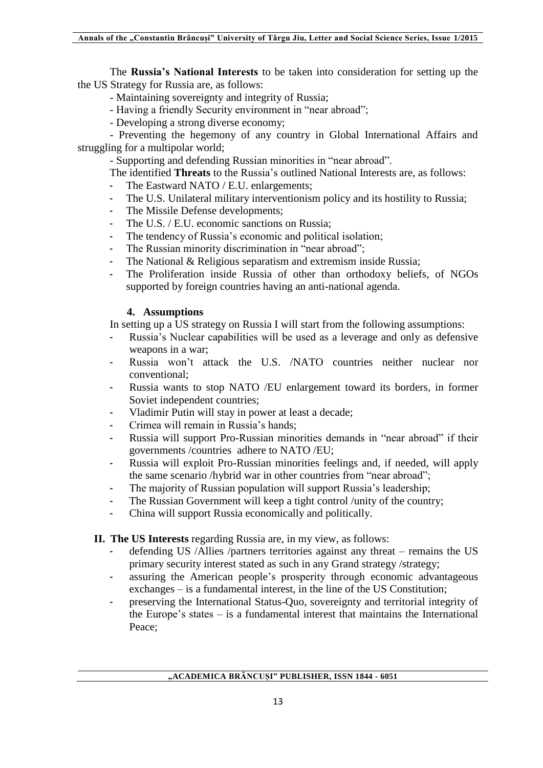The **Russia's National Interests** to be taken into consideration for setting up the the US Strategy for Russia are, as follows:

- Maintaining sovereignty and integrity of Russia;

- Having a friendly Security environment in "near abroad";
- Developing a strong diverse economy;

- Preventing the hegemony of any country in Global International Affairs and struggling for a multipolar world;

- Supporting and defending Russian minorities in "near abroad".

- The identified **Threats** to the Russia's outlined National Interests are, as follows:
- The Eastward NATO / E.U. enlargements;
- The U.S. Unilateral military interventionism policy and its hostility to Russia;
- The Missile Defense developments;
- The U.S. / E.U. economic sanctions on Russia;
- The tendency of Russia's economic and political isolation;
- The Russian minority discrimination in "near abroad";
- The National & Religious separatism and extremism inside Russia;
- The Proliferation inside Russia of other than orthodoxy beliefs, of NGOs supported by foreign countries having an anti-national agenda.

## **4. Assumptions**

In setting up a US strategy on Russia I will start from the following assumptions:

- Russia's Nuclear capabilities will be used as a leverage and only as defensive weapons in a war;
- Russia won't attack the U.S. /NATO countries neither nuclear nor conventional;
- Russia wants to stop NATO /EU enlargement toward its borders, in former Soviet independent countries;
- Vladimir Putin will stay in power at least a decade;
- Crimea will remain in Russia's hands;
- Russia will support Pro-Russian minorities demands in "near abroad" if their governments /countries adhere to NATO /EU;
- Russia will exploit Pro-Russian minorities feelings and, if needed, will apply the same scenario /hybrid war in other countries from "near abroad";
- The majority of Russian population will support Russia's leadership;
- The Russian Government will keep a tight control /unity of the country;
- China will support Russia economically and politically.

## **II. The US Interests** regarding Russia are, in my view, as follows:

- defending US /Allies /partners territories against any threat remains the US primary security interest stated as such in any Grand strategy /strategy;
- assuring the American people's prosperity through economic advantageous exchanges – is a fundamental interest, in the line of the US Constitution;
- preserving the International Status-Quo, sovereignty and territorial integrity of the Europe's states  $-$  is a fundamental interest that maintains the International Peace;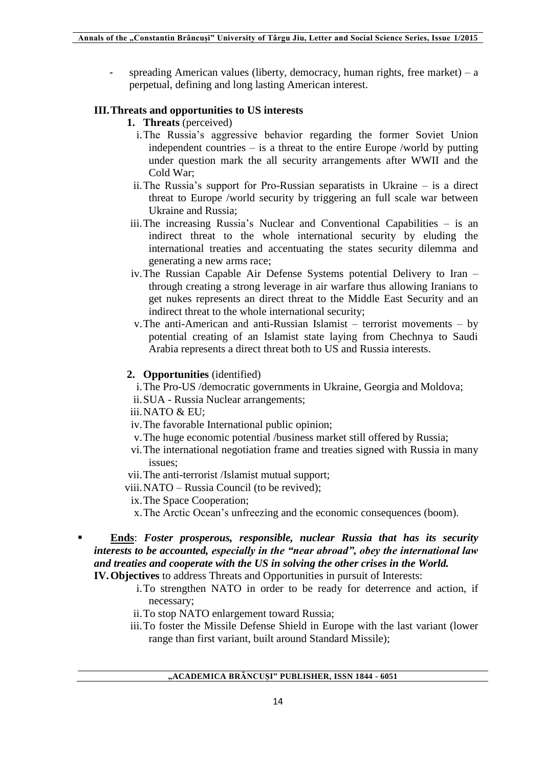- spreading American values (liberty, democracy, human rights, free market) – a perpetual, defining and long lasting American interest.

## **III.Threats and opportunities to US interests**

- **1. Threats** (perceived)
	- i.The Russia's aggressive behavior regarding the former Soviet Union independent countries – is a threat to the entire Europe /world by putting under question mark the all security arrangements after WWII and the Cold War;
	- ii.The Russia's support for Pro-Russian separatists in Ukraine is a direct threat to Europe /world security by triggering an full scale war between Ukraine and Russia;
- iii.The increasing Russia's Nuclear and Conventional Capabilities is an indirect threat to the whole international security by eluding the international treaties and accentuating the states security dilemma and generating a new arms race;
- iv.The Russian Capable Air Defense Systems potential Delivery to Iran through creating a strong leverage in air warfare thus allowing Iranians to get nukes represents an direct threat to the Middle East Security and an indirect threat to the whole international security;
- v.The anti-American and anti-Russian Islamist terrorist movements by potential creating of an Islamist state laying from Chechnya to Saudi Arabia represents a direct threat both to US and Russia interests.

## **2. Opportunities** (identified)

- i.The Pro-US /democratic governments in Ukraine, Georgia and Moldova;
- ii.SUA Russia Nuclear arrangements;
- iii.NATO & EU;
- iv.The favorable International public opinion;
- v.The huge economic potential /business market still offered by Russia;
- vi.The international negotiation frame and treaties signed with Russia in many issues;
- vii.The anti-terrorist /Islamist mutual support;
- viii.NATO Russia Council (to be revived);
	- ix.The Space Cooperation;
	- x.The Arctic Ocean's unfreezing and the economic consequences (boom).
- **Ends**: *Foster prosperous, responsible, nuclear Russia that has its security interests to be accounted, especially in the "near abroad", obey the international law and treaties and cooperate with the US in solving the other crises in the World.* **IV.Objectives** to address Threats and Opportunities in pursuit of Interests:
	- i.To strengthen NATO in order to be ready for deterrence and action, if necessary;
	- ii.To stop NATO enlargement toward Russia;
	- iii.To foster the Missile Defense Shield in Europe with the last variant (lower range than first variant, built around Standard Missile);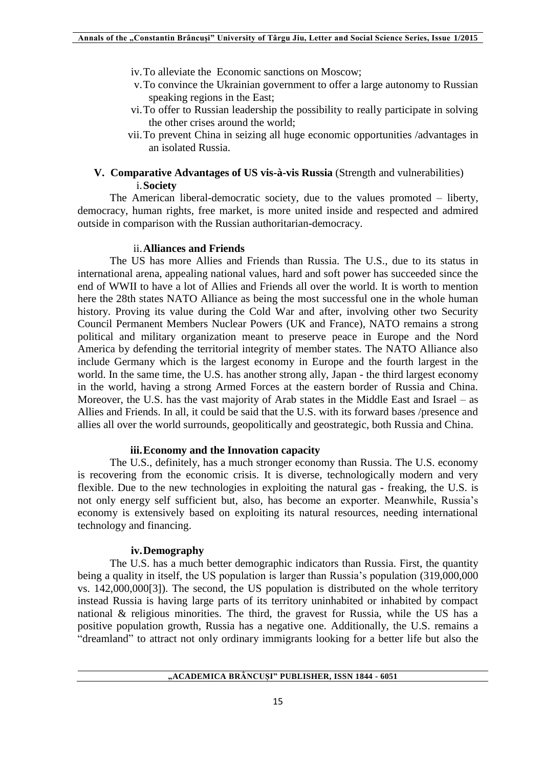- iv.To alleviate the Economic sanctions on Moscow;
- v.To convince the Ukrainian government to offer a large autonomy to Russian speaking regions in the East;
- vi.To offer to Russian leadership the possibility to really participate in solving the other crises around the world;
- vii.To prevent China in seizing all huge economic opportunities /advantages in an isolated Russia.

## **V. Comparative Advantages of US vis-à-vis Russia** (Strength and vulnerabilities) i.**Society**

The American liberal-democratic society, due to the values promoted – liberty, democracy, human rights, free market, is more united inside and respected and admired outside in comparison with the Russian authoritarian-democracy.

#### ii.**Alliances and Friends**

The US has more Allies and Friends than Russia. The U.S., due to its status in international arena, appealing national values, hard and soft power has succeeded since the end of WWII to have a lot of Allies and Friends all over the world. It is worth to mention here the 28th states NATO Alliance as being the most successful one in the whole human history. Proving its value during the Cold War and after, involving other two Security Council Permanent Members Nuclear Powers (UK and France), NATO remains a strong political and military organization meant to preserve peace in Europe and the Nord America by defending the territorial integrity of member states. The NATO Alliance also include Germany which is the largest economy in Europe and the fourth largest in the world. In the same time, the U.S. has another strong ally, Japan - the third largest economy in the world, having a strong Armed Forces at the eastern border of Russia and China. Moreover, the U.S. has the vast majority of Arab states in the Middle East and Israel – as Allies and Friends. In all, it could be said that the U.S. with its forward bases /presence and allies all over the world surrounds, geopolitically and geostrategic, both Russia and China.

## **iii.Economy and the Innovation capacity**

The U.S., definitely, has a much stronger economy than Russia. The U.S. economy is recovering from the economic crisis. It is diverse, technologically modern and very flexible. Due to the new technologies in exploiting the natural gas - freaking, the U.S. is not only energy self sufficient but, also, has become an exporter. Meanwhile, Russia's economy is extensively based on exploiting its natural resources, needing international technology and financing.

#### **iv.Demography**

The U.S. has a much better demographic indicators than Russia. First, the quantity being a quality in itself, the US population is larger than Russia's population (319,000,000 vs. 142,000,000[3]). The second, the US population is distributed on the whole territory instead Russia is having large parts of its territory uninhabited or inhabited by compact national & religious minorities. The third, the gravest for Russia, while the US has a positive population growth, Russia has a negative one. Additionally, the U.S. remains a "dreamland" to attract not only ordinary immigrants looking for a better life but also the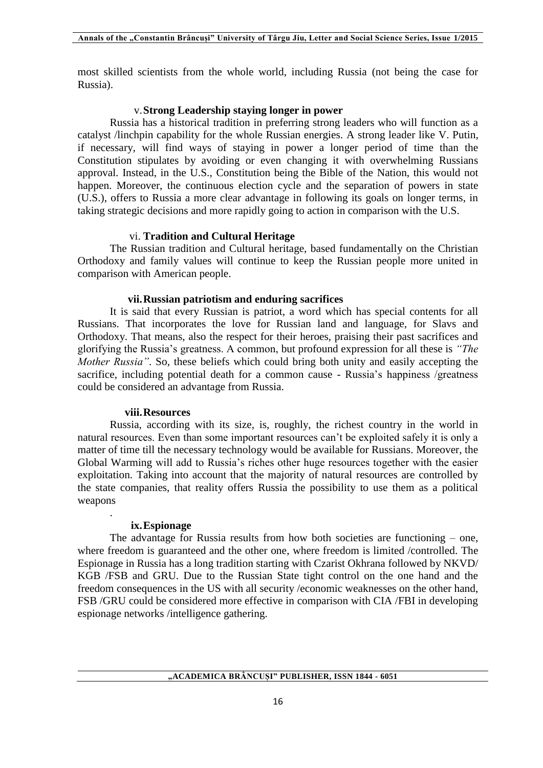most skilled scientists from the whole world, including Russia (not being the case for Russia).

#### v.**Strong Leadership staying longer in power**

Russia has a historical tradition in preferring strong leaders who will function as a catalyst /linchpin capability for the whole Russian energies. A strong leader like V. Putin, if necessary, will find ways of staying in power a longer period of time than the Constitution stipulates by avoiding or even changing it with overwhelming Russians approval. Instead, in the U.S., Constitution being the Bible of the Nation, this would not happen. Moreover, the continuous election cycle and the separation of powers in state (U.S.), offers to Russia a more clear advantage in following its goals on longer terms, in taking strategic decisions and more rapidly going to action in comparison with the U.S.

## vi. **Tradition and Cultural Heritage**

The Russian tradition and Cultural heritage, based fundamentally on the Christian Orthodoxy and family values will continue to keep the Russian people more united in comparison with American people.

#### **vii.Russian patriotism and enduring sacrifices**

It is said that every Russian is patriot, a word which has special contents for all Russians. That incorporates the love for Russian land and language, for Slavs and Orthodoxy. That means, also the respect for their heroes, praising their past sacrifices and glorifying the Russia's greatness. A common, but profound expression for all these is *"The Mother Russia"*. So, these beliefs which could bring both unity and easily accepting the sacrifice, including potential death for a common cause - Russia's happiness /greatness could be considered an advantage from Russia.

#### **viii.Resources**

Russia, according with its size, is, roughly, the richest country in the world in natural resources. Even than some important resources can't be exploited safely it is only a matter of time till the necessary technology would be available for Russians. Moreover, the Global Warming will add to Russia's riches other huge resources together with the easier exploitation. Taking into account that the majority of natural resources are controlled by the state companies, that reality offers Russia the possibility to use them as a political weapons

#### **ix.Espionage**

.

The advantage for Russia results from how both societies are functioning – one, where freedom is guaranteed and the other one, where freedom is limited /controlled. The Espionage in Russia has a long tradition starting with Czarist Okhrana followed by NKVD/ KGB /FSB and GRU. Due to the Russian State tight control on the one hand and the freedom consequences in the US with all security /economic weaknesses on the other hand, FSB /GRU could be considered more effective in comparison with CIA /FBI in developing espionage networks /intelligence gathering.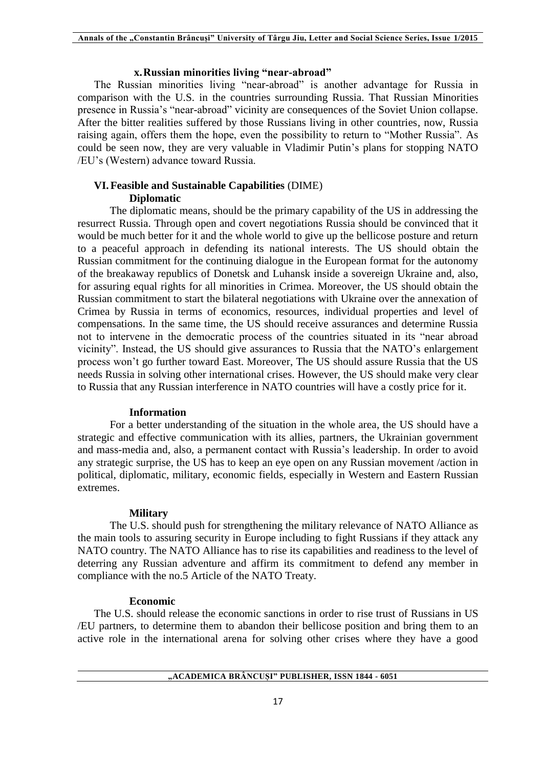#### **x.Russian minorities living "near-abroad"**

The Russian minorities living "near-abroad" is another advantage for Russia in comparison with the U.S. in the countries surrounding Russia. That Russian Minorities presence in Russia's "near-abroad" vicinity are consequences of the Soviet Union collapse. After the bitter realities suffered by those Russians living in other countries, now, Russia raising again, offers them the hope, even the possibility to return to "Mother Russia". As could be seen now, they are very valuable in Vladimir Putin's plans for stopping NATO /EU's (Western) advance toward Russia.

#### **VI.Feasible and Sustainable Capabilities** (DIME) **Diplomatic**

The diplomatic means, should be the primary capability of the US in addressing the resurrect Russia. Through open and covert negotiations Russia should be convinced that it would be much better for it and the whole world to give up the bellicose posture and return to a peaceful approach in defending its national interests. The US should obtain the Russian commitment for the continuing dialogue in the European format for the autonomy of the breakaway republics of Donetsk and Luhansk inside a sovereign Ukraine and, also, for assuring equal rights for all minorities in Crimea. Moreover, the US should obtain the Russian commitment to start the bilateral negotiations with Ukraine over the annexation of Crimea by Russia in terms of economics, resources, individual properties and level of compensations. In the same time, the US should receive assurances and determine Russia not to intervene in the democratic process of the countries situated in its "near abroad vicinity". Instead, the US should give assurances to Russia that the NATO's enlargement process won't go further toward East. Moreover, The US should assure Russia that the US needs Russia in solving other international crises. However, the US should make very clear to Russia that any Russian interference in NATO countries will have a costly price for it.

#### **Information**

For a better understanding of the situation in the whole area, the US should have a strategic and effective communication with its allies, partners, the Ukrainian government and mass-media and, also, a permanent contact with Russia's leadership. In order to avoid any strategic surprise, the US has to keep an eye open on any Russian movement /action in political, diplomatic, military, economic fields, especially in Western and Eastern Russian extremes.

#### **Military**

The U.S. should push for strengthening the military relevance of NATO Alliance as the main tools to assuring security in Europe including to fight Russians if they attack any NATO country. The NATO Alliance has to rise its capabilities and readiness to the level of deterring any Russian adventure and affirm its commitment to defend any member in compliance with the no.5 Article of the NATO Treaty.

#### **Economic**

The U.S. should release the economic sanctions in order to rise trust of Russians in US /EU partners, to determine them to abandon their bellicose position and bring them to an active role in the international arena for solving other crises where they have a good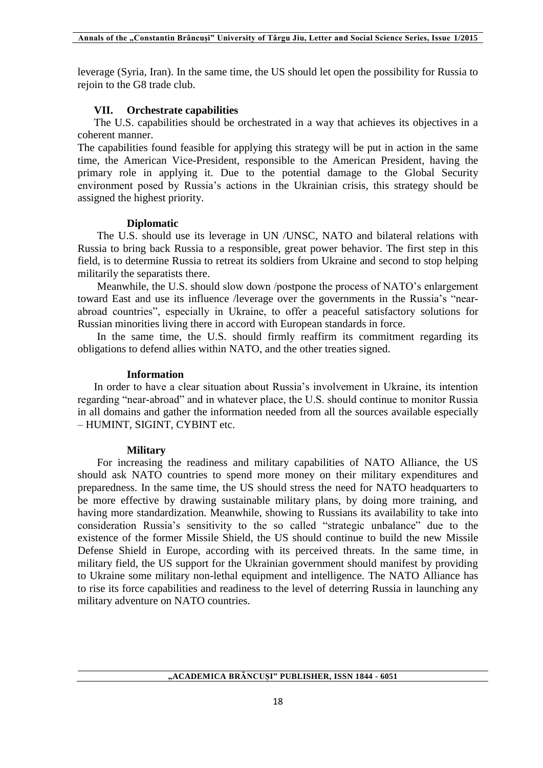leverage (Syria, Iran). In the same time, the US should let open the possibility for Russia to rejoin to the G8 trade club.

#### **VII. Orchestrate capabilities**

The U.S. capabilities should be orchestrated in a way that achieves its objectives in a coherent manner.

The capabilities found feasible for applying this strategy will be put in action in the same time, the American Vice-President, responsible to the American President, having the primary role in applying it. Due to the potential damage to the Global Security environment posed by Russia's actions in the Ukrainian crisis, this strategy should be assigned the highest priority.

#### **Diplomatic**

The U.S. should use its leverage in UN /UNSC, NATO and bilateral relations with Russia to bring back Russia to a responsible, great power behavior. The first step in this field, is to determine Russia to retreat its soldiers from Ukraine and second to stop helping militarily the separatists there.

Meanwhile, the U.S. should slow down /postpone the process of NATO's enlargement toward East and use its influence /leverage over the governments in the Russia's "nearabroad countries", especially in Ukraine, to offer a peaceful satisfactory solutions for Russian minorities living there in accord with European standards in force.

In the same time, the U.S. should firmly reaffirm its commitment regarding its obligations to defend allies within NATO, and the other treaties signed.

#### **Information**

In order to have a clear situation about Russia's involvement in Ukraine, its intention regarding "near-abroad" and in whatever place, the U.S. should continue to monitor Russia in all domains and gather the information needed from all the sources available especially – HUMINT, SIGINT, CYBINT etc.

#### **Military**

For increasing the readiness and military capabilities of NATO Alliance, the US should ask NATO countries to spend more money on their military expenditures and preparedness. In the same time, the US should stress the need for NATO headquarters to be more effective by drawing sustainable military plans, by doing more training, and having more standardization. Meanwhile, showing to Russians its availability to take into consideration Russia's sensitivity to the so called "strategic unbalance" due to the existence of the former Missile Shield, the US should continue to build the new Missile Defense Shield in Europe, according with its perceived threats. In the same time, in military field, the US support for the Ukrainian government should manifest by providing to Ukraine some military non-lethal equipment and intelligence. The NATO Alliance has to rise its force capabilities and readiness to the level of deterring Russia in launching any military adventure on NATO countries.